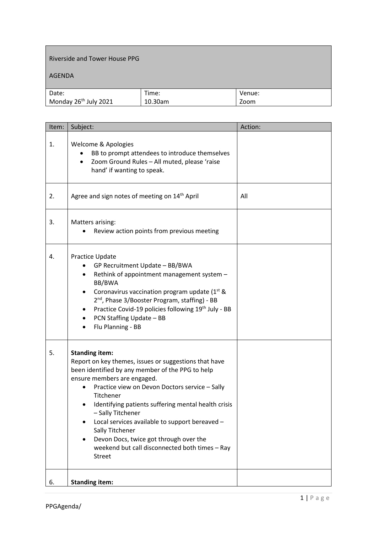## Riverside and Tower House PPG

## AGENDA

| Date:                             | Time:   | Venue: |
|-----------------------------------|---------|--------|
| Monday 26 <sup>th</sup> July 2021 | 10.30am | Zoom   |

| Item: | Subject:                                                                                                                                                                                                                                                                                                                                                                                                                                                                                       | Action: |
|-------|------------------------------------------------------------------------------------------------------------------------------------------------------------------------------------------------------------------------------------------------------------------------------------------------------------------------------------------------------------------------------------------------------------------------------------------------------------------------------------------------|---------|
| 1.    | Welcome & Apologies<br>BB to prompt attendees to introduce themselves<br>Zoom Ground Rules - All muted, please 'raise<br>$\bullet$<br>hand' if wanting to speak.                                                                                                                                                                                                                                                                                                                               |         |
| 2.    | Agree and sign notes of meeting on 14 <sup>th</sup> April                                                                                                                                                                                                                                                                                                                                                                                                                                      | All     |
| 3.    | Matters arising:<br>Review action points from previous meeting                                                                                                                                                                                                                                                                                                                                                                                                                                 |         |
| 4.    | Practice Update<br>GP Recruitment Update - BB/BWA<br>Rethink of appointment management system -<br>BB/BWA<br>Coronavirus vaccination program update (1 <sup>st</sup> &<br>2 <sup>nd</sup> , Phase 3/Booster Program, staffing) - BB<br>Practice Covid-19 policies following 19 <sup>th</sup> July - BB<br>PCN Staffing Update - BB<br>$\bullet$<br>Flu Planning - BB<br>٠                                                                                                                      |         |
| 5.    | <b>Standing item:</b><br>Report on key themes, issues or suggestions that have<br>been identified by any member of the PPG to help<br>ensure members are engaged.<br>Practice view on Devon Doctors service - Sally<br>Titchener<br>Identifying patients suffering mental health crisis<br>- Sally Titchener<br>Local services available to support bereaved -<br>Sally Titchener<br>Devon Docs, twice got through over the<br>weekend but call disconnected both times - Ray<br><b>Street</b> |         |
| 6.    | <b>Standing item:</b>                                                                                                                                                                                                                                                                                                                                                                                                                                                                          |         |